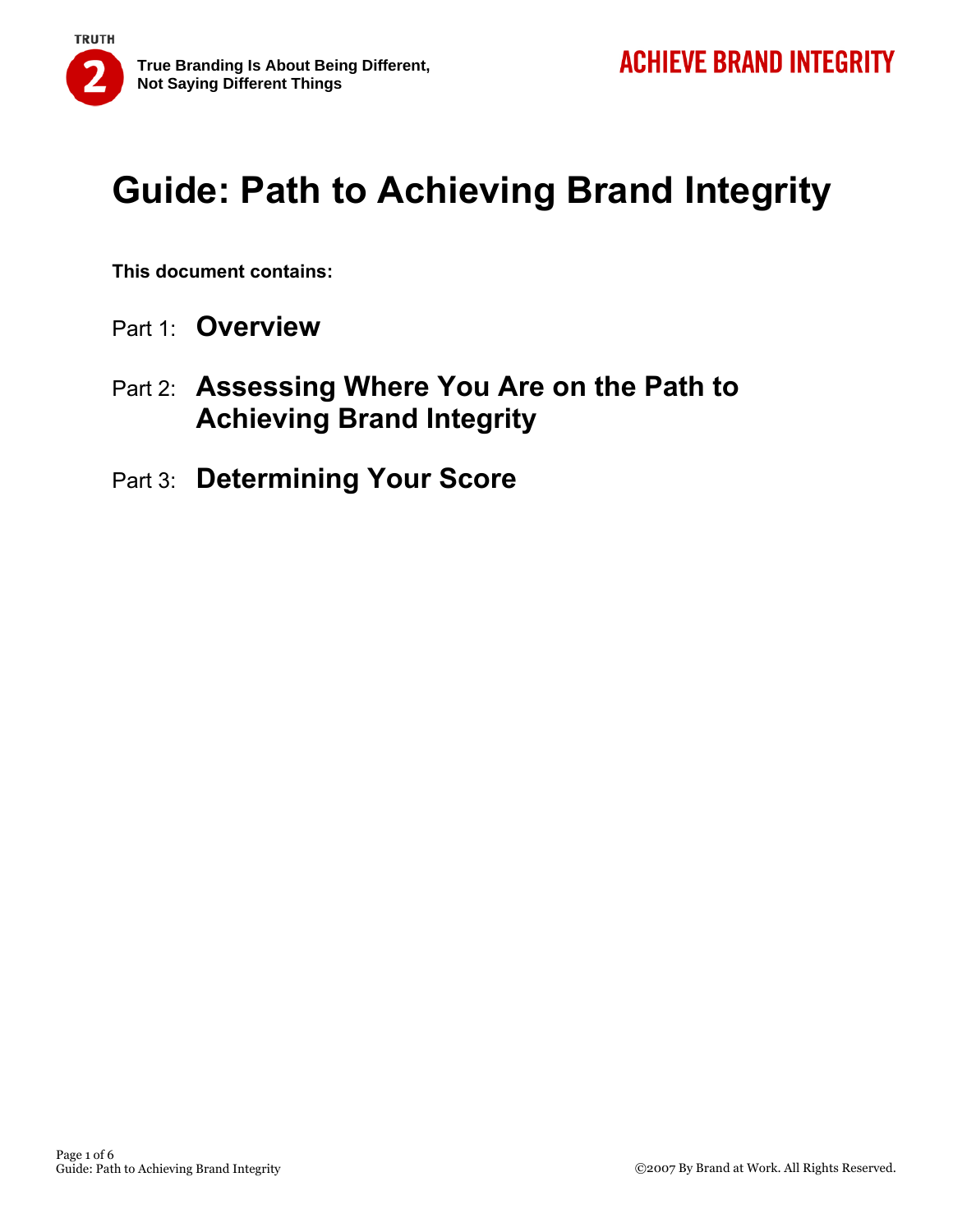

**This document contains:** 

- Part 1: **Overview**
- Part 2: **Assessing Where You Are on the Path to Achieving Brand Integrity**
- Part 3: **Determining Your Score**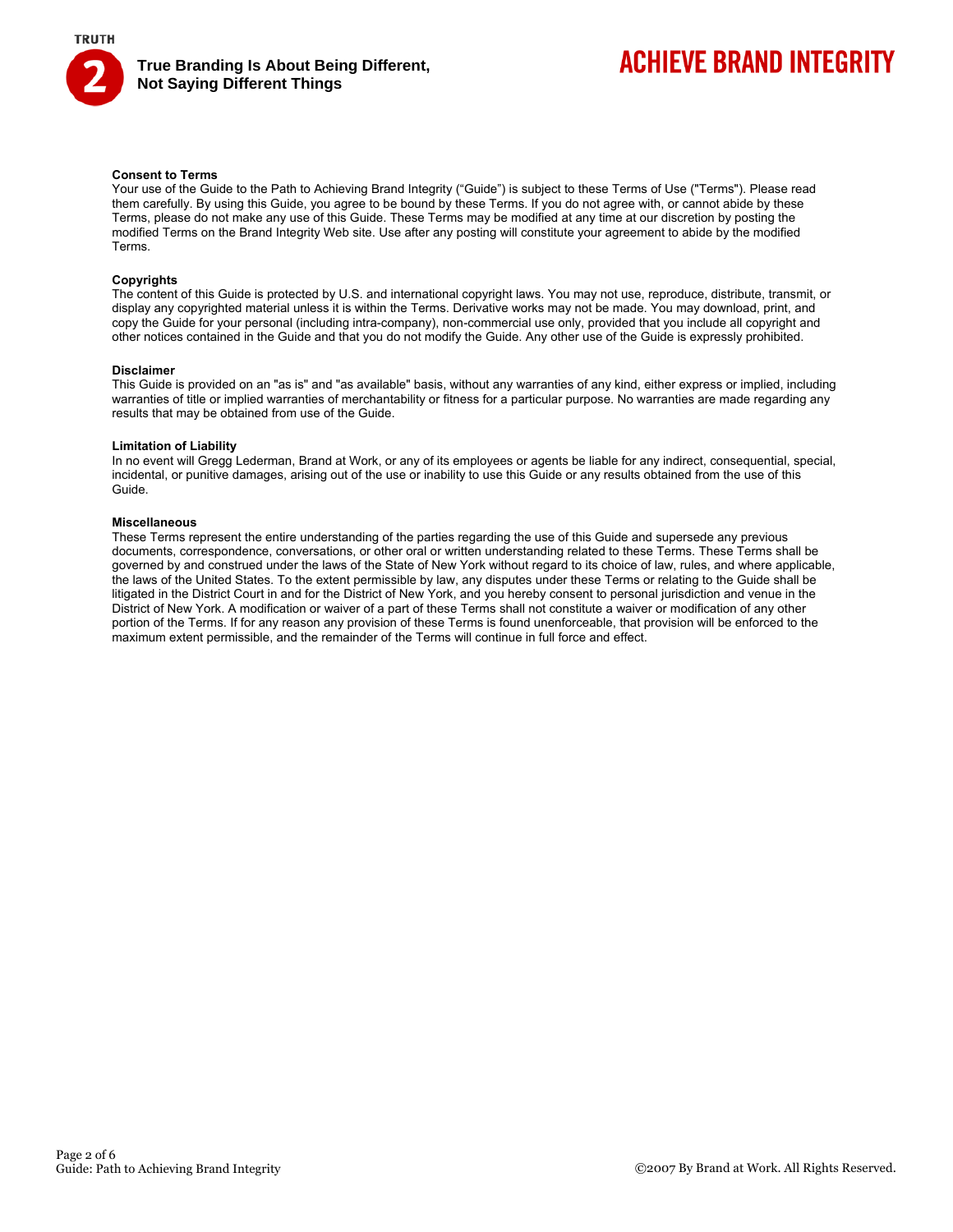

## **ACHIEVE BRAND INTEGRITY**

### **Consent to Terms**

Your use of the Guide to the Path to Achieving Brand Integrity ("Guide") is subject to these Terms of Use ("Terms"). Please read them carefully. By using this Guide, you agree to be bound by these Terms. If you do not agree with, or cannot abide by these Terms, please do not make any use of this Guide. These Terms may be modified at any time at our discretion by posting the modified Terms on the Brand Integrity Web site. Use after any posting will constitute your agreement to abide by the modified Terms.

### **Copyrights**

The content of this Guide is protected by U.S. and international copyright laws. You may not use, reproduce, distribute, transmit, or display any copyrighted material unless it is within the Terms. Derivative works may not be made. You may download, print, and copy the Guide for your personal (including intra-company), non-commercial use only, provided that you include all copyright and other notices contained in the Guide and that you do not modify the Guide. Any other use of the Guide is expressly prohibited.

#### **Disclaimer**

This Guide is provided on an "as is" and "as available" basis, without any warranties of any kind, either express or implied, including warranties of title or implied warranties of merchantability or fitness for a particular purpose. No warranties are made regarding any results that may be obtained from use of the Guide.

#### **Limitation of Liability**

In no event will Gregg Lederman, Brand at Work, or any of its employees or agents be liable for any indirect, consequential, special, incidental, or punitive damages, arising out of the use or inability to use this Guide or any results obtained from the use of this Guide.

### **Miscellaneous**

These Terms represent the entire understanding of the parties regarding the use of this Guide and supersede any previous documents, correspondence, conversations, or other oral or written understanding related to these Terms. These Terms shall be governed by and construed under the laws of the State of New York without regard to its choice of law, rules, and where applicable, the laws of the United States. To the extent permissible by law, any disputes under these Terms or relating to the Guide shall be litigated in the District Court in and for the District of New York, and you hereby consent to personal jurisdiction and venue in the District of New York. A modification or waiver of a part of these Terms shall not constitute a waiver or modification of any other portion of the Terms. If for any reason any provision of these Terms is found unenforceable, that provision will be enforced to the maximum extent permissible, and the remainder of the Terms will continue in full force and effect.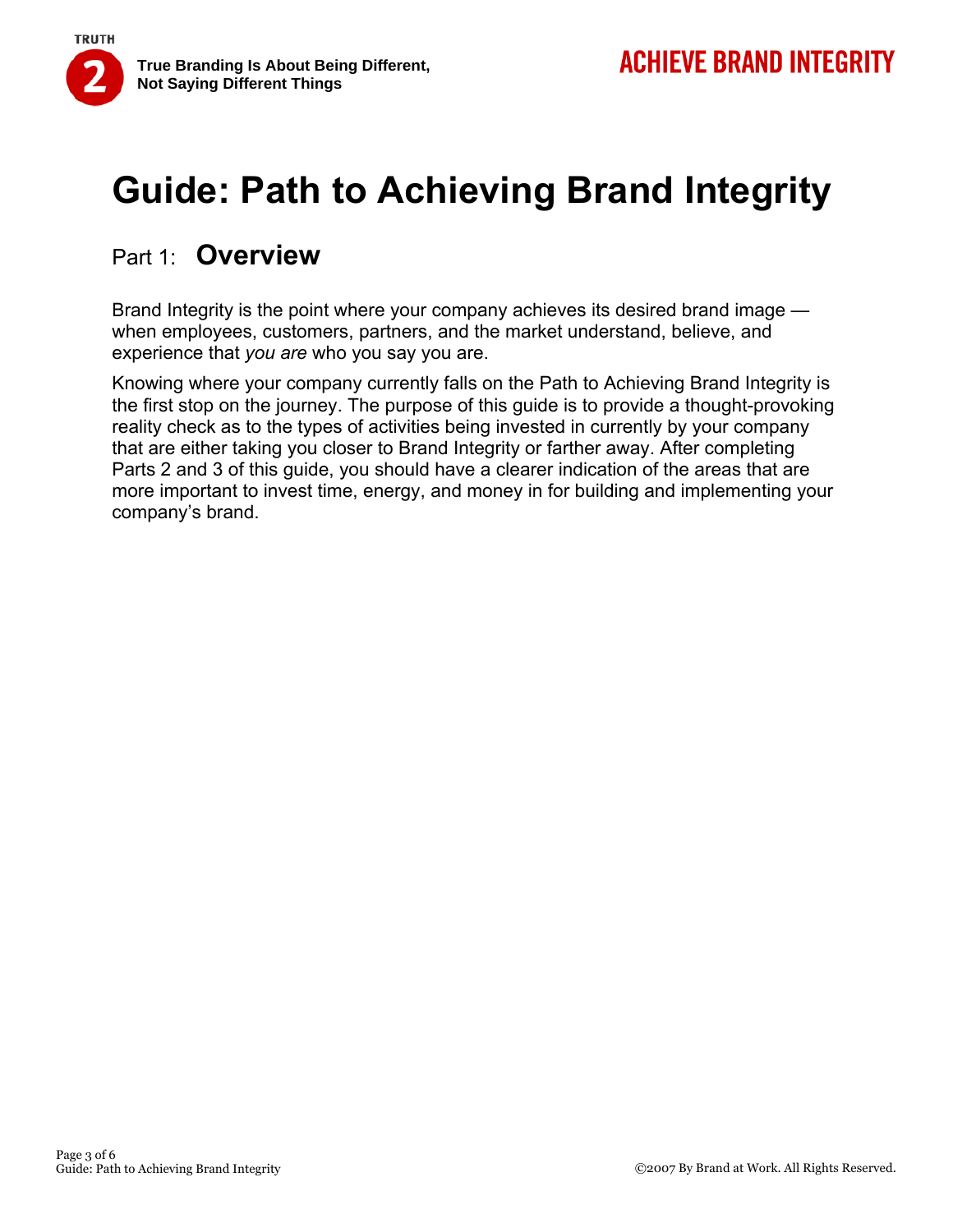

### Part 1: **Overview**

Brand Integrity is the point where your company achieves its desired brand image when employees, customers, partners, and the market understand, believe, and experience that *you are* who you say you are.

Knowing where your company currently falls on the Path to Achieving Brand Integrity is the first stop on the journey. The purpose of this guide is to provide a thought-provoking reality check as to the types of activities being invested in currently by your company that are either taking you closer to Brand Integrity or farther away. After completing Parts 2 and 3 of this guide, you should have a clearer indication of the areas that are more important to invest time, energy, and money in for building and implementing your company's brand.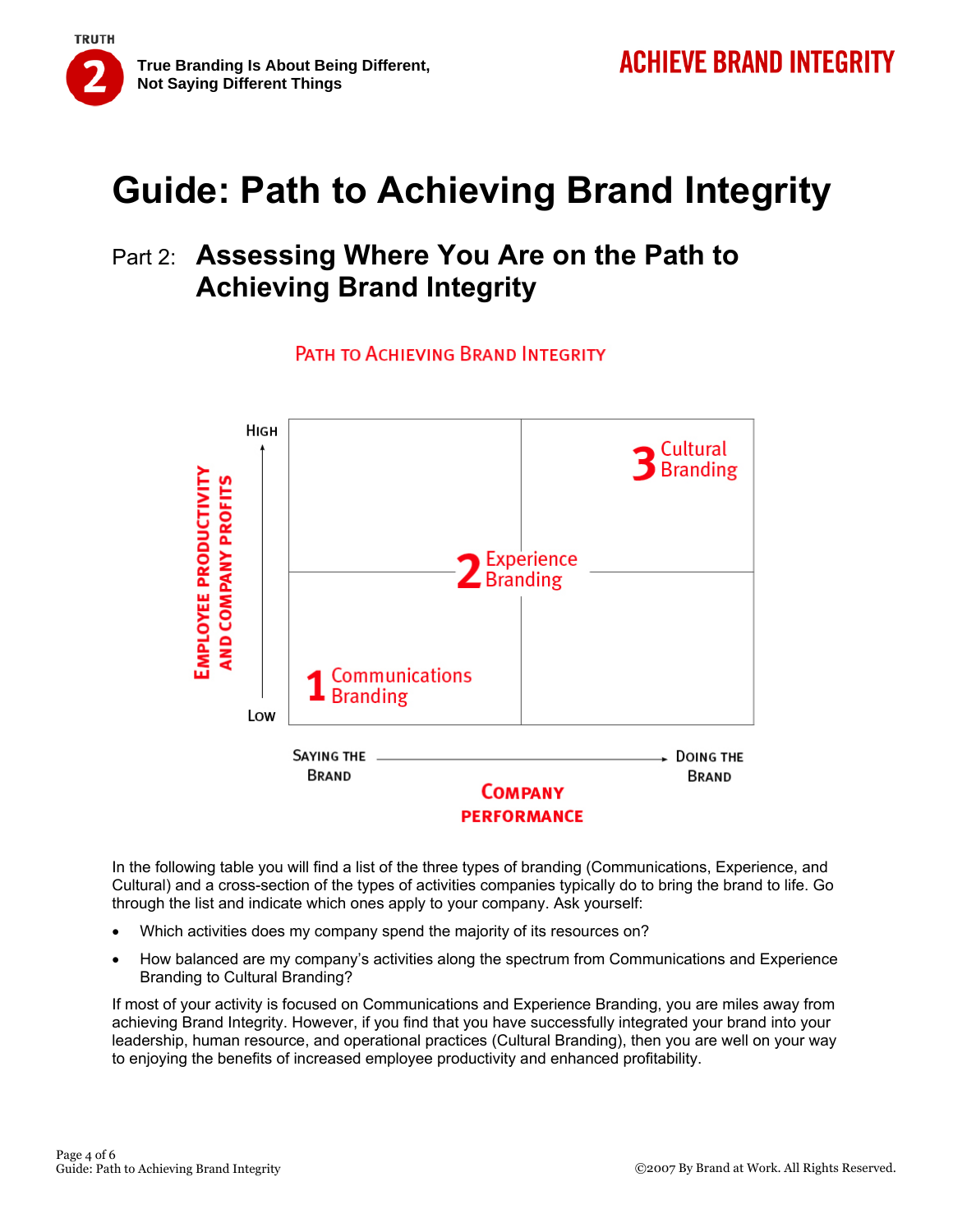

### Part 2: **Assessing Where You Are on the Path to Achieving Brand Integrity**

PATH TO ACHIFVING BRAND INTEGRITY



In the following table you will find a list of the three types of branding (Communications, Experience, and Cultural) and a cross-section of the types of activities companies typically do to bring the brand to life. Go through the list and indicate which ones apply to your company. Ask yourself:

- Which activities does my company spend the majority of its resources on?
- How balanced are my company's activities along the spectrum from Communications and Experience Branding to Cultural Branding?

If most of your activity is focused on Communications and Experience Branding, you are miles away from achieving Brand Integrity. However, if you find that you have successfully integrated your brand into your leadership, human resource, and operational practices (Cultural Branding), then you are well on your way to enjoying the benefits of increased employee productivity and enhanced profitability.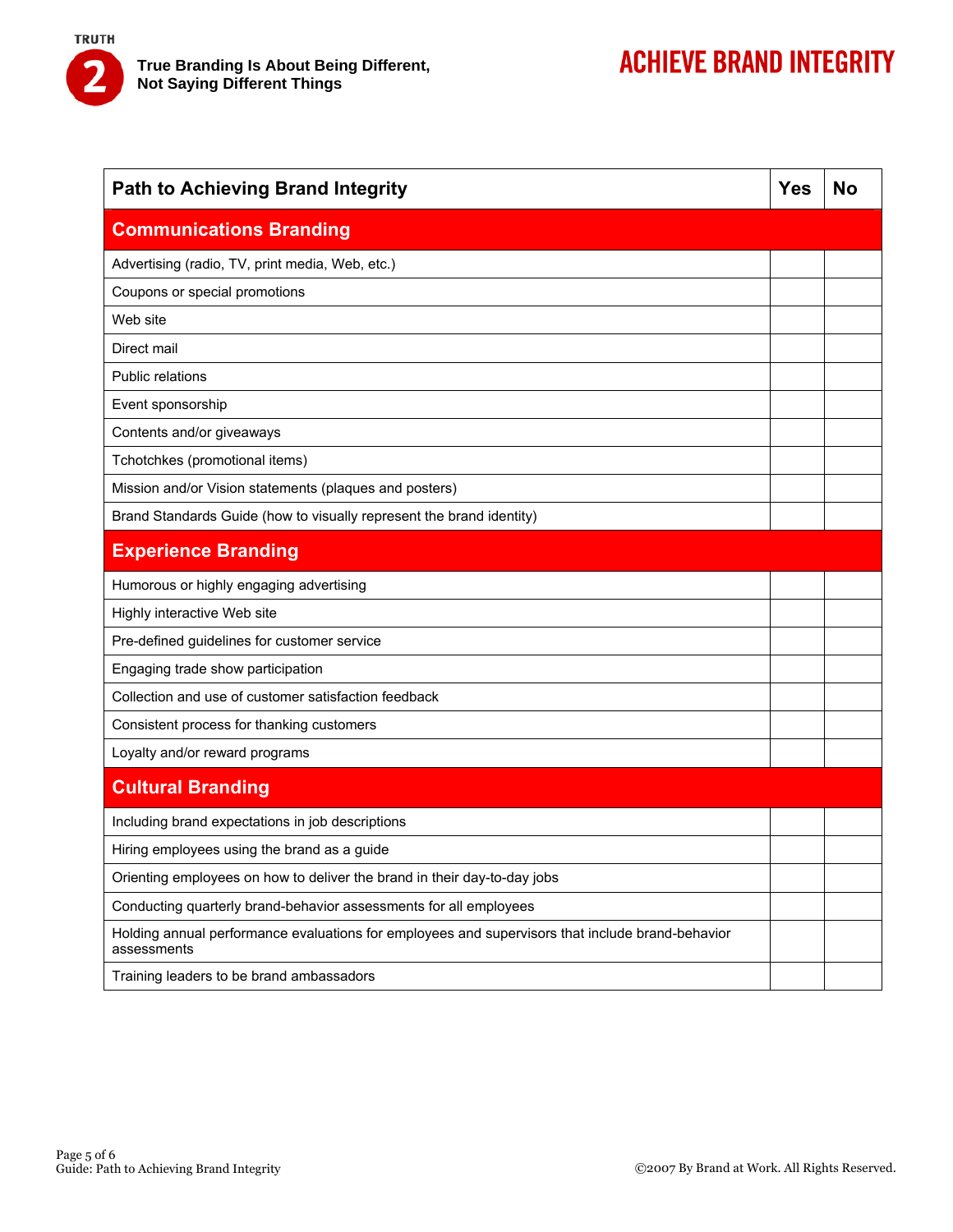

| <b>Path to Achieving Brand Integrity</b>                                                                        | Yes | <b>No</b> |
|-----------------------------------------------------------------------------------------------------------------|-----|-----------|
| <b>Communications Branding</b>                                                                                  |     |           |
| Advertising (radio, TV, print media, Web, etc.)                                                                 |     |           |
| Coupons or special promotions                                                                                   |     |           |
| Web site                                                                                                        |     |           |
| Direct mail                                                                                                     |     |           |
| <b>Public relations</b>                                                                                         |     |           |
| Event sponsorship                                                                                               |     |           |
| Contents and/or giveaways                                                                                       |     |           |
| Tchotchkes (promotional items)                                                                                  |     |           |
| Mission and/or Vision statements (plaques and posters)                                                          |     |           |
| Brand Standards Guide (how to visually represent the brand identity)                                            |     |           |
| <b>Experience Branding</b>                                                                                      |     |           |
| Humorous or highly engaging advertising                                                                         |     |           |
| Highly interactive Web site                                                                                     |     |           |
| Pre-defined guidelines for customer service                                                                     |     |           |
| Engaging trade show participation                                                                               |     |           |
| Collection and use of customer satisfaction feedback                                                            |     |           |
| Consistent process for thanking customers                                                                       |     |           |
| Loyalty and/or reward programs                                                                                  |     |           |
| <b>Cultural Branding</b>                                                                                        |     |           |
| Including brand expectations in job descriptions                                                                |     |           |
| Hiring employees using the brand as a guide                                                                     |     |           |
| Orienting employees on how to deliver the brand in their day-to-day jobs                                        |     |           |
| Conducting quarterly brand-behavior assessments for all employees                                               |     |           |
| Holding annual performance evaluations for employees and supervisors that include brand-behavior<br>assessments |     |           |
| Training leaders to be brand ambassadors                                                                        |     |           |